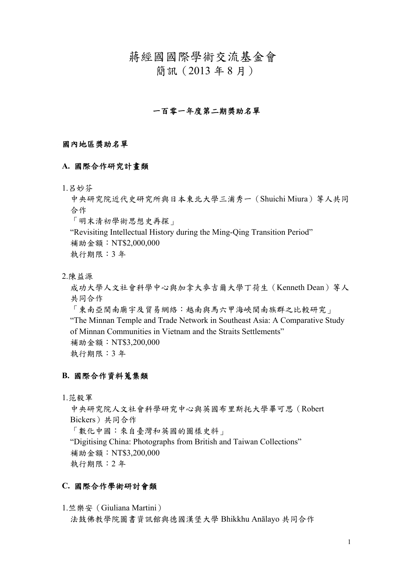蔣經國國際學術交流基金會

簡訊(2013 年 8 月)

### 一百零一年度第二期獎助名單

#### 國內地區獎助名單

#### **A.** 國際合作研究計畫類

1.呂妙芬

中央研究院近代史研究所與日本東北大學三浦秀一(Shuichi Miura)等人共同 合作

「明末清初學術思想史再探」

"Revisiting Intellectual History during the Ming-Qing Transition Period"

補助金額:NT\$2,000,000

執行期限:3 年

2.陳益源

成功大學人文社會科學中心與加拿大麥吉爾大學丁荷生(Kenneth Dean)等人 共同合作 「東南亞閩南廟宇及貿易網絡:越南與馬六甲海峽閩南族群之比較研究」

"The Minnan Temple and Trade Network in Southeast Asia: A Comparative Study of Minnan Communities in Vietnam and the Straits Settlements" 補助金額:NT\$3,200,000

執行期限:3 年

### **B.** 國際合作資料蒐集類

1.范毅軍

中央研究院人文社會科學研究中心與英國布里斯托大學畢可思(Robert Bickers)共同合作 「數化中國:來自臺灣和英國的圖樣史料」 "Digitising China: Photographs from British and Taiwan Collections" 補助金額:NT\$3,200,000 執行期限:2 年

### **C.** 國際合作學術研討會類

1.竺樂安(Giuliana Martini)

法鼓佛教學院圖書資訊館與德國漢堡大學 Bhikkhu Anālayo 共同合作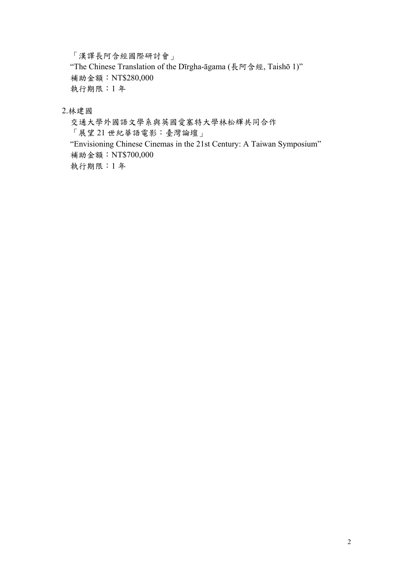「漢譯長阿含經國際研討會」

"The Chinese Translation of the Dīrgha-āgama (長阿含經, Taishō 1)" 補助金額:NT\$280,000 執行期限:1 年

2.林建國

交通大學外國語文學系與英國愛塞特大學林松輝共同合作 「展望 21 世紀華語電影:臺灣論壇」 "Envisioning Chinese Cinemas in the 21st Century: A Taiwan Symposium" 補助金額:NT\$700,000 執行期限:1 年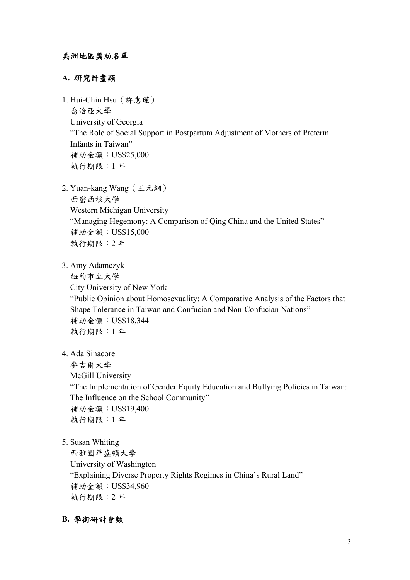### **A.** 研究計畫類

1. Hui-Chin Hsu(許惠瑾) 喬治亞大學 University of Georgia "The Role of Social Support in Postpartum Adjustment of Mothers of Preterm Infants in Taiwan" 補助金額:US\$25,000 執行期限:1 年

- 2. Yuan-kang Wang(王元綱) 西密西根大學 Western Michigan University "Managing Hegemony: A Comparison of Qing China and the United States" 補助金額:US\$15,000 執行期限:2 年
- 3. Amy Adamczyk

紐約市立大學 City University of New York "Public Opinion about Homosexuality: A Comparative Analysis of the Factors that Shape Tolerance in Taiwan and Confucian and Non-Confucian Nations" 補助金額:US\$18,344 執行期限:1 年

4. Ada Sinacore

麥吉爾大學 McGill University

"The Implementation of Gender Equity Education and Bullying Policies in Taiwan: The Influence on the School Community" 補助金額:US\$19,400 執行期限:1 年

5. Susan Whiting

西雅圖華盛頓大學 University of Washington "Explaining Diverse Property Rights Regimes in China's Rural Land" 補助金額:US\$34,960 執行期限:2 年

### **B.** 學術研討會類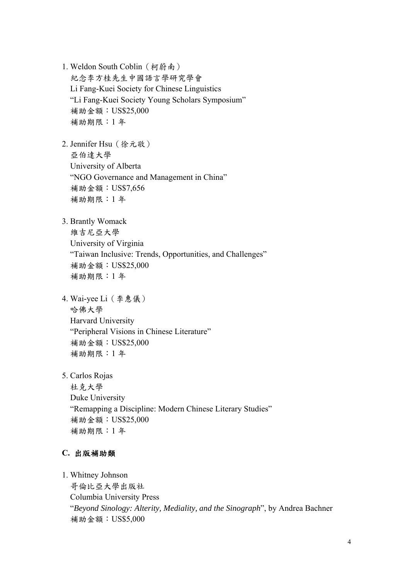1. Weldon South Coblin(柯蔚南) 紀念李方桂先生中國語言學研究學會 Li Fang-Kuei Society for Chinese Linguistics "Li Fang-Kuei Society Young Scholars Symposium" 補助金額:US\$25,000 補助期限:1 年

2. Jennifer Hsu(徐元敬) 亞伯達大學 University of Alberta "NGO Governance and Management in China" 補助金額:US\$7,656 補助期限:1 年

3. Brantly Womack 維吉尼亞大學

> University of Virginia "Taiwan Inclusive: Trends, Opportunities, and Challenges" 補助金額:US\$25,000 補助期限:1 年

- 4. Wai-yee Li(李惠儀) 哈佛大學 Harvard University "Peripheral Visions in Chinese Literature" 補助金額:US\$25,000 補助期限:1 年
- 5. Carlos Rojas

杜克大學 Duke University "Remapping a Discipline: Modern Chinese Literary Studies" 補助金額:US\$25,000 補助期限:1 年

### **C.** 出版補助類

1. Whitney Johnson 哥倫比亞大學出版社 Columbia University Press "*Beyond Sinology: Alterity, Mediality, and the Sinograph*", by Andrea Bachner 補助金額:US\$5,000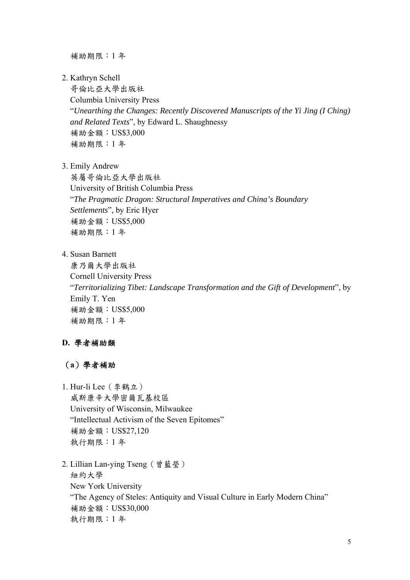補助期限:1 年

2. Kathryn Schell

哥倫比亞大學出版社 Columbia University Press "*Unearthing the Changes: Recently Discovered Manuscripts of the Yi Jing (I Ching) and Related Texts*", by Edward L. Shaughnessy 補助金額:US\$3,000 補助期限:1 年

3. Emily Andrew

英屬哥倫比亞大學出版社 University of British Columbia Press "*The Pragmatic Dragon: Structural Imperatives and China's Boundary Settlements*", by Eric Hyer 補助金額:US\$5,000 補助期限:1 年

4. Susan Barnett

康乃爾大學出版社 Cornell University Press "*Territorializing Tibet: Landscape Transformation and the Gift of Development*", by Emily T. Yen 補助金額:US\$5,000 補助期限:1 年

### **D.** 學者補助類

- (**a**)學者補助
- 1. Hur-li Lee(李鶴立)

威斯康辛大學密爾瓦基校區 University of Wisconsin, Milwaukee "Intellectual Activism of the Seven Epitomes" 補助金額:US\$27,120 執行期限:1 年

2. Lillian Lan-ying Tseng(曾藍瑩) 紐約大學 New York University "The Agency of Steles: Antiquity and Visual Culture in Early Modern China" 補助金額:US\$30,000 執行期限:1 年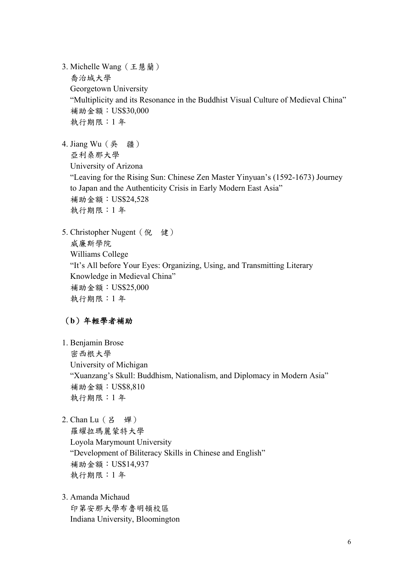3. Michelle Wang(王慧蘭) 喬治城大學 Georgetown University "Multiplicity and its Resonance in the Buddhist Visual Culture of Medieval China" 補助金額:US\$30,000 執行期限:1 年

4. Jiang Wu(吳 疆) 亞利桑那大學 University of Arizona "Leaving for the Rising Sun: Chinese Zen Master Yinyuan's (1592-1673) Journey to Japan and the Authenticity Crisis in Early Modern East Asia" 補助金額:US\$24,528 執行期限:1 年

5. Christopher Nugent (倪 健) 威廉斯學院 Williams College "It's All before Your Eyes: Organizing, Using, and Transmitting Literary Knowledge in Medieval China" 補助金額:US\$25,000 執行期限:1 年

### (**b**)年輕學者補助

- 1. Benjamin Brose 密西根大學 University of Michigan "Xuanzang's Skull: Buddhism, Nationalism, and Diplomacy in Modern Asia" 補助金額:US\$8,810 執行期限:1 年
- 2. Chan Lu (呂 嬋) 羅耀拉瑪麗蒙特大學 Loyola Marymount University "Development of Biliteracy Skills in Chinese and English" 補助金額:US\$14,937 執行期限:1 年
- 3. Amanda Michaud 印第安那大學布魯明頓校區 Indiana University, Bloomington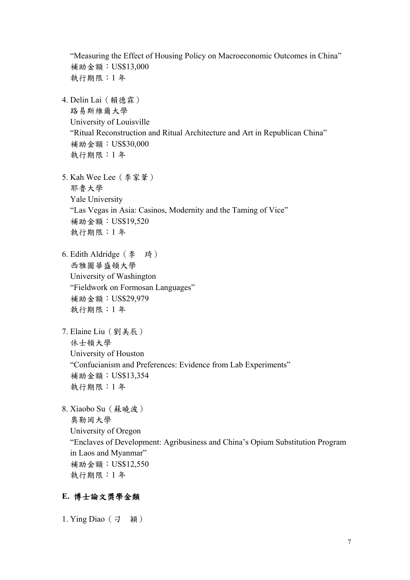"Measuring the Effect of Housing Policy on Macroeconomic Outcomes in China" 補助金額:US\$13,000 執行期限:1 年 4. Delin Lai(賴德霖) 路易斯維爾大學 University of Louisville "Ritual Reconstruction and Ritual Architecture and Art in Republican China" 補助金額:US\$30,000 執行期限:1 年 5. Kah Wee Lee(李家葦) 耶魯大學 Yale University "Las Vegas in Asia: Casinos, Modernity and the Taming of Vice" 補助金額:US\$19,520 執行期限:1 年 6. Edith Aldridge(李 琦) 西雅圖華盛頓大學 University of Washington "Fieldwork on Formosan Languages" 補助金額:US\$29,979 執行期限:1 年 7. Elaine Liu(劉美辰) 休士頓大學 University of Houston "Confucianism and Preferences: Evidence from Lab Experiments" 補助金額:US\$13,354 執行期限:1 年 8. Xiaobo Su(蘇曉波) 奧勒岡大學 University of Oregon "Enclaves of Development: Agribusiness and China's Opium Substitution Program in Laos and Myanmar" 補助金額:US\$12,550 執行期限:1 年

### **E.** 博士論文獎學金類

1. Ying Diao(刁 穎)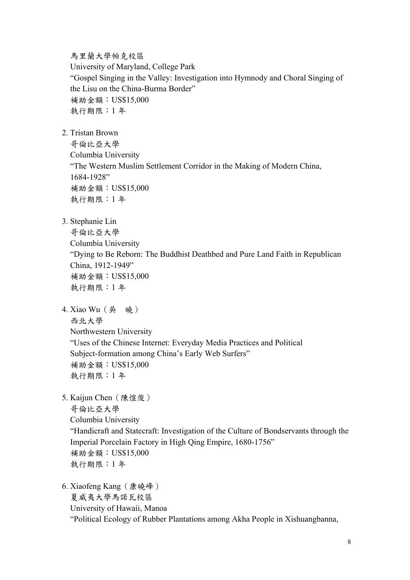馬里蘭大學帕克校區

University of Maryland, College Park "Gospel Singing in the Valley: Investigation into Hymnody and Choral Singing of the Lisu on the China-Burma Border" 補助金額:US\$15,000 執行期限:1 年

2. Tristan Brown

哥倫比亞大學 Columbia University "The Western Muslim Settlement Corridor in the Making of Modern China, 1684-1928" 補助金額:US\$15,000 執行期限:1 年

3. Stephanie Lin

哥倫比亞大學 Columbia University "Dying to Be Reborn: The Buddhist Deathbed and Pure Land Faith in Republican China, 1912-1949" 補助金額:US\$15,000 執行期限:1 年

4. Xiao Wu (吳 曉)

西北大學

Northwestern University

"Uses of the Chinese Internet: Everyday Media Practices and Political Subject-formation among China's Early Web Surfers" 補助金額:US\$15,000 執行期限:1 年

5. Kaijun Chen(陳愷俊)

哥倫比亞大學 Columbia University "Handicraft and Statecraft: Investigation of the Culture of Bondservants through the Imperial Porcelain Factory in High Qing Empire, 1680-1756" 補助金額:US\$15,000 執行期限:1 年

6. Xiaofeng Kang(康曉峰) 夏威夷大學馬諾瓦校區 University of Hawaii, Manoa "Political Ecology of Rubber Plantations among Akha People in Xishuangbanna,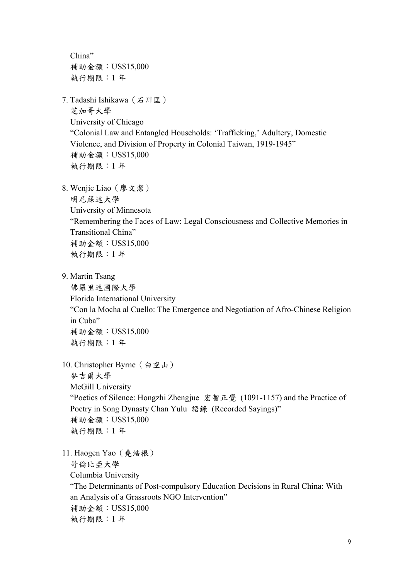China" 補助金額:US\$15,000 執行期限:1 年

7. Tadashi Ishikawa(石川匡) 芝加哥大學 University of Chicago "Colonial Law and Entangled Households: 'Trafficking,' Adultery, Domestic Violence, and Division of Property in Colonial Taiwan, 1919-1945" 補助金額:US\$15,000

執行期限:1 年

8. Wenjie Liao(廖文潔)

明尼蘇達大學

University of Minnesota

"Remembering the Faces of Law: Legal Consciousness and Collective Memories in Transitional China" 補助金額:US\$15,000

執行期限:1 年

9. Martin Tsang

佛羅里達國際大學 Florida International University "Con la Mocha al Cuello: The Emergence and Negotiation of Afro-Chinese Religion in Cuba" 補助金額:US\$15,000 執行期限:1 年

10. Christopher Byrne(白空山)

麥吉爾大學 McGill University "Poetics of Silence: Hongzhi Zhengjue 宏智正覺 (1091-1157) and the Practice of Poetry in Song Dynasty Chan Yulu 語錄 (Recorded Sayings)" 補助金額:US\$15,000 執行期限:1 年

11. Haogen Yao(堯浩根)

哥倫比亞大學

Columbia University

"The Determinants of Post-compulsory Education Decisions in Rural China: With an Analysis of a Grassroots NGO Intervention" 補助金額:US\$15,000 執行期限:1 年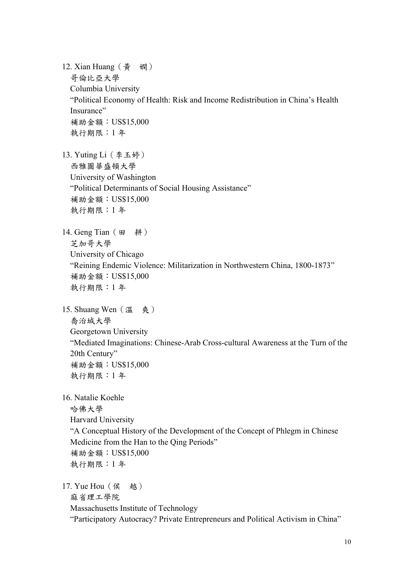12. Xian Huang (黃 嫻) 哥倫比亞大學 Columbia University "Political Economy of Health: Risk and Income Redistribution in China's Health Insurance" 補助金額:US\$15,000 執行期限:1 年 13. Yuting Li(李玉婷) 西雅圖華盛頓大學 University of Washington "Political Determinants of Social Housing Assistance" 補助金額:US\$15,000 執行期限:1 年 14. Geng Tian (田 耕) 芝加哥大學 University of Chicago "Reining Endemic Violence: Militarization in Northwestern China, 1800-1873" 補助金額:US\$15,000 執行期限:1 年 15. Shuang Wen (溫 爽) 喬治城大學 Georgetown University "Mediated Imaginations: Chinese-Arab Cross-cultural Awareness at the Turn of the 20th Century" 補助金額:US\$15,000 執行期限:1 年 16. Natalie Koehle 哈佛大學 Harvard University "A Conceptual History of the Development of the Concept of Phlegm in Chinese Medicine from the Han to the Qing Periods" 補助金額:US\$15,000 執行期限:1 年 17. Yue Hou (侯 越) 麻省理工學院 Massachusetts Institute of Technology

"Participatory Autocracy? Private Entrepreneurs and Political Activism in China"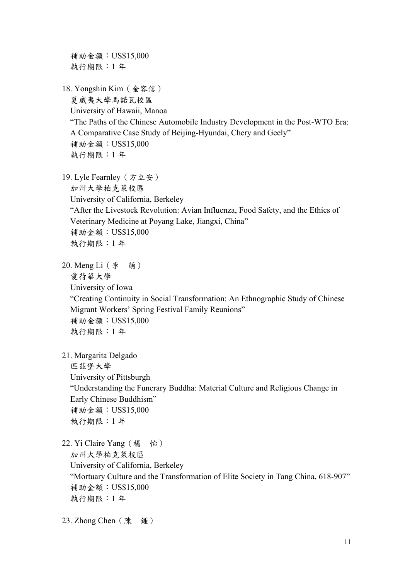補助金額:US\$15,000 執行期限:1 年 18. Yongshin Kim(金容信) 夏威夷大學馬諾瓦校區 University of Hawaii, Manoa "The Paths of the Chinese Automobile Industry Development in the Post-WTO Era: A Comparative Case Study of Beijing-Hyundai, Chery and Geely" 補助金額:US\$15,000 執行期限:1 年 19. Lyle Fearnley(方立安) 加州大學柏克萊校區 University of California, Berkeley "After the Livestock Revolution: Avian Influenza, Food Safety, and the Ethics of Veterinary Medicine at Poyang Lake, Jiangxi, China" 補助金額:US\$15,000 執行期限:1 年 20. Meng Li(李 萌) 愛荷華大學 University of Iowa "Creating Continuity in Social Transformation: An Ethnographic Study of Chinese Migrant Workers' Spring Festival Family Reunions" 補助金額:US\$15,000 執行期限:1 年 21. Margarita Delgado 匹茲堡大學 University of Pittsburgh "Understanding the Funerary Buddha: Material Culture and Religious Change in Early Chinese Buddhism" 補助金額:US\$15,000 執行期限:1 年 22. Yi Claire Yang (楊 怡) 加州大學柏克萊校區 University of California, Berkeley "Mortuary Culture and the Transformation of Elite Society in Tang China, 618-907" 補助金額:US\$15,000 執行期限:1 年

23. Zhong Chen (陳 鍾)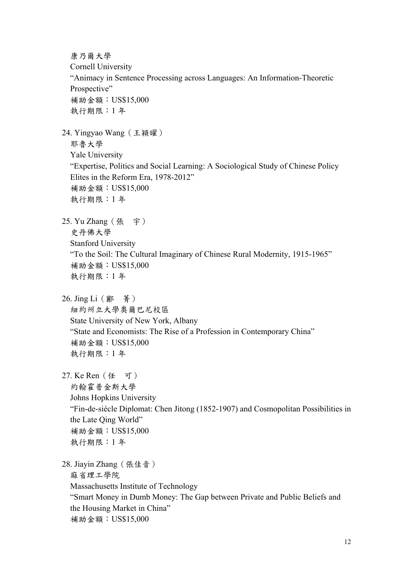康乃爾大學 Cornell University "Animacy in Sentence Processing across Languages: An Information-Theoretic Prospective" 補助金額:US\$15,000 執行期限:1 年 24. Yingyao Wang(王穎曜) 耶魯大學 Yale University "Expertise, Politics and Social Learning: A Sociological Study of Chinese Policy Elites in the Reform Era, 1978-2012" 補助金額:US\$15,000 執行期限:1 年 25. Yu Zhang(張 宇) 史丹佛大學 Stanford University "To the Soil: The Cultural Imaginary of Chinese Rural Modernity, 1915-1965" 補助金額:US\$15,000 執行期限:1 年 26. Jing Li(酈 菁) 紐約州立大學奧爾巴尼校區 State University of New York, Albany "State and Economists: The Rise of a Profession in Contemporary China" 補助金額:US\$15,000 執行期限:1 年 27. Ke Ren(任 可) 約翰霍普金斯大學 Johns Hopkins University "Fin-de-siècle Diplomat: Chen Jitong (1852-1907) and Cosmopolitan Possibilities in the Late Qing World" 補助金額:US\$15,000 執行期限:1 年 28. Jiayin Zhang(張佳音) 麻省理工學院 Massachusetts Institute of Technology "Smart Money in Dumb Money: The Gap between Private and Public Beliefs and the Housing Market in China" 補助金額:US\$15,000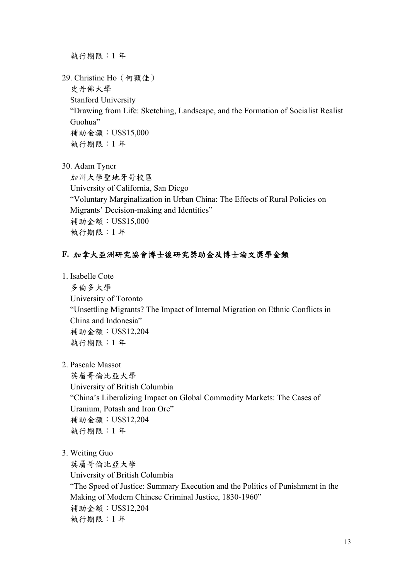執行期限:1 年

29. Christine Ho(何穎佳)

史丹佛大學

Stanford University

"Drawing from Life: Sketching, Landscape, and the Formation of Socialist Realist Guohua" 補助金額:US\$15,000

執行期限:1 年

30. Adam Tyner

加州大學聖地牙哥校區 University of California, San Diego "Voluntary Marginalization in Urban China: The Effects of Rural Policies on Migrants' Decision-making and Identities" 補助金額:US\$15,000 執行期限:1 年

### **F.** 加拿大亞洲研究協會博士後研究獎助金及博士論文獎學金類

1. Isabelle Cote

多倫多大學 University of Toronto "Unsettling Migrants? The Impact of Internal Migration on Ethnic Conflicts in China and Indonesia" 補助金額:US\$12,204 執行期限:1 年

2. Pascale Massot

英屬哥倫比亞大學 University of British Columbia "China's Liberalizing Impact on Global Commodity Markets: The Cases of Uranium, Potash and Iron Ore" 補助金額:US\$12,204 執行期限:1 年

3. Weiting Guo

英屬哥倫比亞大學 University of British Columbia "The Speed of Justice: Summary Execution and the Politics of Punishment in the Making of Modern Chinese Criminal Justice, 1830-1960" 補助金額:US\$12,204 執行期限:1 年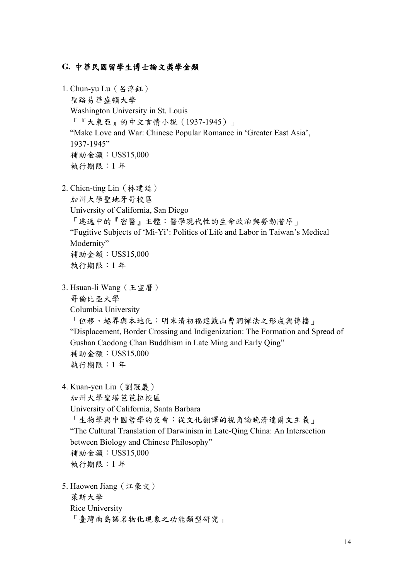#### **G.** 中華民國留學生博士論文獎學金類

1. Chun-vu Lu (呂淳鈺) 聖路易華盛頓大學 Washington University in St. Louis 「『大東亞』的中文言情小說(1937-1945)」 "Make Love and War: Chinese Popular Romance in 'Greater East Asia', 1937-1945" 補助金額:US\$15,000 執行期限:1 年 2. Chien-ting Lin(林建廷)

加州大學聖地牙哥校區 University of California, San Diego 「逃逸中的『密醫』主體:醫學現代性的生命政治與勞動階序」 "Fugitive Subjects of 'Mi-Yi': Politics of Life and Labor in Taiwan's Medical Modernity" 補助金額:US\$15,000 執行期限:1 年

- 3. Hsuan-li Wang(王宣曆) 哥倫比亞大學 Columbia University 「位移、越界與本地化:明末清初福建鼓山曹洞禪法之形成與傳播」 "Displacement, Border Crossing and Indigenization: The Formation and Spread of Gushan Caodong Chan Buddhism in Late Ming and Early Qing" 補助金額:US\$15,000 執行期限:1 年
- 4. Kuan-yen Liu(劉冠巖)

加州大學聖塔芭芭拉校區 University of California, Santa Barbara 「生物學與中國哲學的交會:從文化翻譯的視角論晚清達爾文主義」 "The Cultural Translation of Darwinism in Late-Qing China: An Intersection between Biology and Chinese Philosophy" 補助金額:US\$15,000 執行期限:1 年

5. Haowen Jiang(江豪文) 萊斯大學 Rice University 「臺灣南島語名物化現象之功能類型研究」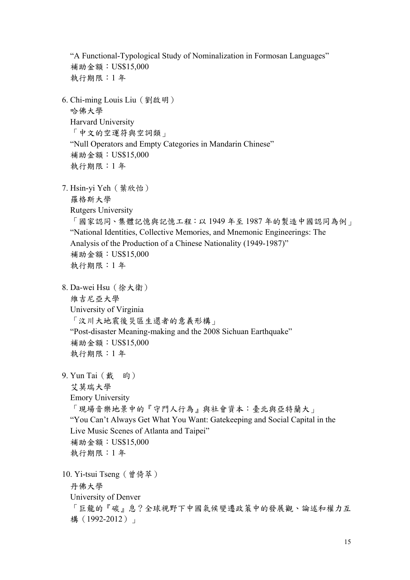"A Functional-Typological Study of Nominalization in Formosan Languages" 補助金額:US\$15,000 執行期限:1 年 6. Chi-ming Louis Liu(劉啟明) 哈佛大學 Harvard University 「中文的空運符與空詞類」 "Null Operators and Empty Categories in Mandarin Chinese" 補助金額:US\$15,000 執行期限:1 年 7. Hsin-yi Yeh(葉欣怡) 羅格斯大學 Rutgers University 「國家認同、集體記憶與記憶工程:以 1949 年至 1987 年的製造中國認同為例」 "National Identities, Collective Memories, and Mnemonic Engineerings: The Analysis of the Production of a Chinese Nationality (1949-1987)" 補助金額:US\$15,000 執行期限:1 年 8. Da-wei Hsu(徐大衛) 維吉尼亞大學 University of Virginia 「汶川大地震後災區生還者的意義形構」 "Post-disaster Meaning-making and the 2008 Sichuan Earthquake" 補助金額:US\$15,000 執行期限:1 年 9. Yun Tai (戴 昀) 艾莫瑞大學 Emory University 「現場音樂地景中的『守門人行為』與社會資本:臺北與亞特蘭大」 "You Can't Always Get What You Want: Gatekeeping and Social Capital in the Live Music Scenes of Atlanta and Taipei" 補助金額:US\$15,000 執行期限:1 年 10. Yi-tsui Tseng(曾倚萃) 丹佛大學 University of Denver 「巨龍的『碳』息?全球視野下中國氣候變遷政策中的發展觀、論述和權力互 構 (1992-2012)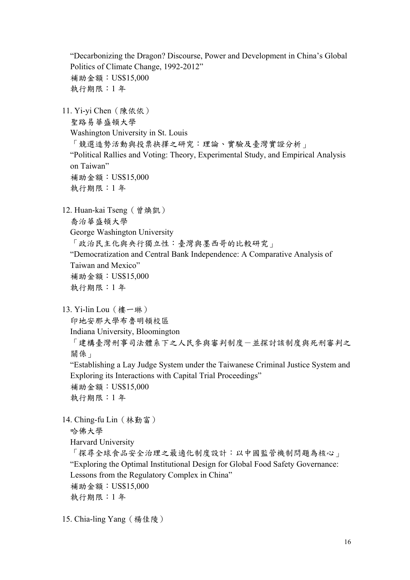"Decarbonizing the Dragon? Discourse, Power and Development in China's Global Politics of Climate Change, 1992-2012" 補助金額:US\$15,000 執行期限:1 年 11. Yi-yi Chen(陳依依) 聖路易華盛頓大學 Washington University in St. Louis 「競選造勢活動與投票抉擇之研究:理論、實驗及臺灣實證分析」 "Political Rallies and Voting: Theory, Experimental Study, and Empirical Analysis on Taiwan" 補助金額:US\$15,000 執行期限:1 年 12. Huan-kai Tseng(曾煥凱) 喬治華盛頓大學 George Washington University 「政治民主化與央行獨立性:臺灣與墨西哥的比較研究」 "Democratization and Central Bank Independence: A Comparative Analysis of Taiwan and Mexico" 補助金額:US\$15,000 執行期限:1 年 13. Yi-lin Lou (樓一琳) 印地安那大學布魯明頓校區 Indiana University, Bloomington 「建構臺灣刑事司法體系下之人民參與審判制度一並探討該制度與死刑審判之 關係」 "Establishing a Lay Judge System under the Taiwanese Criminal Justice System and Exploring its Interactions with Capital Trial Proceedings" 補助金額:US\$15,000 執行期限:1 年 14. Ching-fu Lin(林勤富) 哈佛大學 Harvard University 「探尋全球食品安全治理之最適化制度設計:以中國監管機制問題為核心」 "Exploring the Optimal Institutional Design for Global Food Safety Governance: Lessons from the Regulatory Complex in China" 補助金額:US\$15,000 執行期限:1 年

15. Chia-ling Yang(楊佳陵)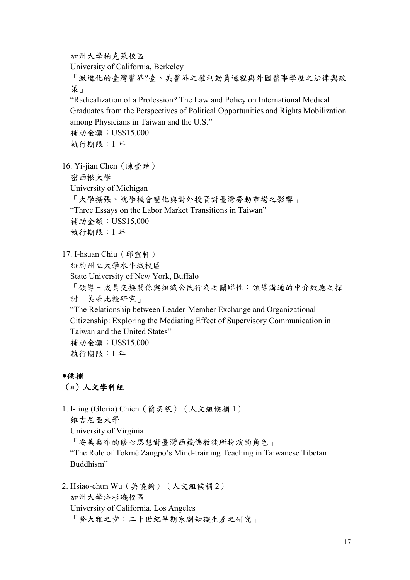加州大學柏克萊校區

University of California, Berkeley

「激進化的臺灣醫界?臺、美醫界之權利動員過程與外國醫事學歷之法律與政 策」

"Radicalization of a Profession? The Law and Policy on International Medical Graduates from the Perspectives of Political Opportunities and Rights Mobilization among Physicians in Taiwan and the U.S."

補助金額:US\$15,000 執行期限:1 年

16. Yi-jian Chen(陳壹瑾)

密西根大學

University of Michigan

「大學擴張、就學機會變化與對外投資對臺灣勞動市場之影響」

"Three Essays on the Labor Market Transitions in Taiwan"

補助金額:US\$15,000

執行期限:1 年

17. I-hsuan Chiu (邱宜軒)

紐約州立大學水牛城校區

State University of New York, Buffalo

「領導–成員交換關係與組織公民行為之關聯性:領導溝通的中介效應之探 討–美臺比較研究」

"The Relationship between Leader-Member Exchange and Organizational Citizenship: Exploring the Mediating Effect of Supervisory Communication in Taiwan and the United States"

補助金額:US\$15,000 執行期限:1 年

### **●**候補

### (**a**)人文學科組

1. I-ling (Gloria) Chien(簡奕瓴)(人文組候補 1) 維吉尼亞大學 University of Virginia 「妥美桑布的修心思想對臺灣西藏佛教徒所扮演的角色」 "The Role of Tokmé Zangpo's Mind-training Teaching in Taiwanese Tibetan Buddhism"

2. Hsiao-chun Wu(吳曉鈞)(人文組候補 2) 加州大學洛杉磯校區 University of California, Los Angeles 「登大雅之堂:二十世紀早期京劇知識生產之研究」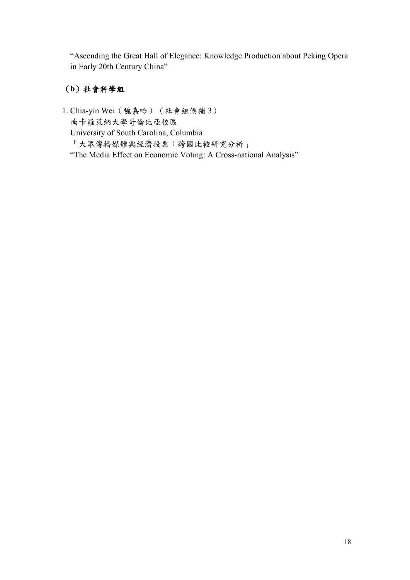"Ascending the Great Hall of Elegance: Knowledge Production about Peking Opera in Early 20th Century China"

# (**b**)社會科學組

1. Chia-yin Wei(魏嘉吟)(社會組候補 3) 南卡羅萊納大學哥倫比亞校區 University of South Carolina, Columbia 「大眾傳播媒體與經濟投票:跨國比較研究分析」 "The Media Effect on Economic Voting: A Cross-national Analysis"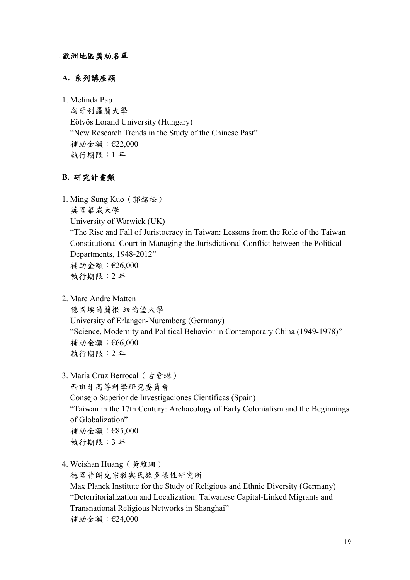#### 歐洲地區獎助名單

#### **A.** 系列講座類

1. Melinda Pap

匈牙利羅蘭大學 Eötvös Loránd University (Hungary) "New Research Trends in the Study of the Chinese Past" 補助金額:€22,000 執行期限:1 年

### **B.** 研究計畫類

1. Ming-Sung Kuo(郭銘松) 英國華威大學 University of Warwick (UK) "The Rise and Fall of Juristocracy in Taiwan: Lessons from the Role of the Taiwan Constitutional Court in Managing the Jurisdictional Conflict between the Political Departments, 1948-2012" 補助金額:€26,000 執行期限:2 年

2. Marc Andre Matten

德國埃爾蘭根-紐倫堡大學 University of Erlangen-Nuremberg (Germany) "Science, Modernity and Political Behavior in Contemporary China (1949-1978)" 補助金額:€66,000 執行期限:2 年

3. María Cruz Berrocal(古愛琳)

西班牙高等科學研究委員會 Consejo Superior de Investigaciones Científicas (Spain)

"Taiwan in the 17th Century: Archaeology of Early Colonialism and the Beginnings of Globalization" 補助金額:€85,000 執行期限:3 年

4. Weishan Huang(黃維珊)

德國普朗克宗教與民族多樣性研究所

Max Planck Institute for the Study of Religious and Ethnic Diversity (Germany) "Deterritorialization and Localization: Taiwanese Capital-Linked Migrants and Transnational Religious Networks in Shanghai" 補助金額:€24,000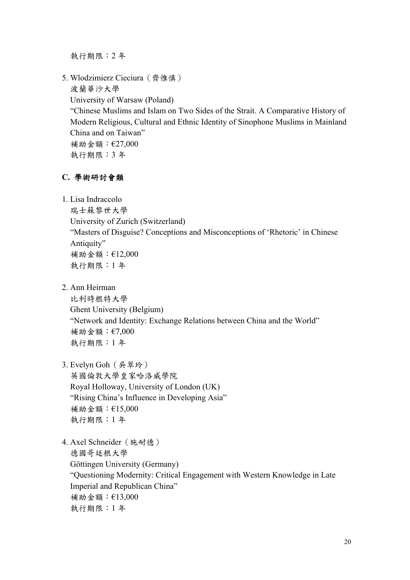執行期限:2 年

5. Wlodzimierz Cieciura(齊惟慎) 波蘭華沙大學 University of Warsaw (Poland) "Chinese Muslims and Islam on Two Sides of the Strait. A Comparative History of Modern Religious, Cultural and Ethnic Identity of Sinophone Muslims in Mainland China and on Taiwan" 補助金額:€27,000 執行期限:3 年

### **C.** 學術研討會類

1. Lisa Indraccolo

瑞士蘇黎世大學 University of Zurich (Switzerland) "Masters of Disguise? Conceptions and Misconceptions of 'Rhetoric' in Chinese Antiquity" 補助金額:€12,000 執行期限:1 年

2. Ann Heirman

比利時根特大學 Ghent University (Belgium) "Network and Identity: Exchange Relations between China and the World" 補助金額:€7,000 執行期限:1 年

3. Evelyn Goh(吳翠玲)

英國倫敦大學皇家哈洛威學院 Royal Holloway, University of London (UK) "Rising China's Influence in Developing Asia" 補助金額:€15,000 執行期限:1 年

4. Axel Schneider(施耐德) 德國哥廷根大學 Göttingen University (Germany) "Questioning Modernity: Critical Engagement with Western Knowledge in Late Imperial and Republican China" 補助金額:€13,000 執行期限:1 年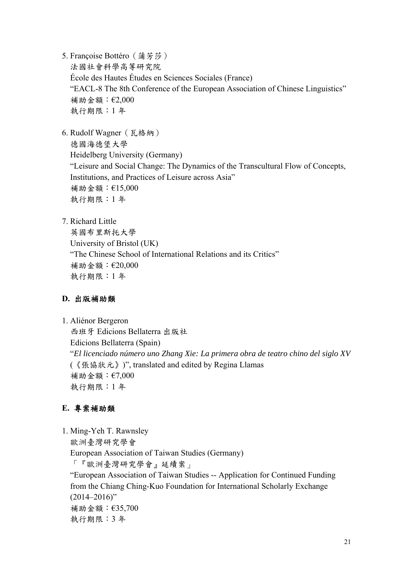5. Françoise Bottéro(蒲芳莎)

法國社會科學高等研究院 École des Hautes Études en Sciences Sociales (France) "EACL-8 The 8th Conference of the European Association of Chinese Linguistics" 補助金額:€2,000 執行期限:1 年

6. Rudolf Wagner(瓦格納)

德國海德堡大學 Heidelberg University (Germany) "Leisure and Social Change: The Dynamics of the Transcultural Flow of Concepts, Institutions, and Practices of Leisure across Asia" 補助金額:€15,000 執行期限:1 年

7. Richard Little

英國布里斯托大學 University of Bristol (UK) "The Chinese School of International Relations and its Critics" 補助金額:€20,000 執行期限:1 年

## **D.** 出版補助類

1. Aliénor Bergeron

西班牙 Edicions Bellaterra 出版社 Edicions Bellaterra (Spain) "*El licenciado número uno Zhang Xie: La primera obra de teatro chino del siglo XV* (《張協狀元》)", translated and edited by Regina Llamas 補助金額:€7,000 執行期限:1 年

## **E.** 專案補助類

1. Ming-Yeh T. Rawnsley 歐洲臺灣研究學會 European Association of Taiwan Studies (Germany) 「『歐洲臺灣研究學會』延續案」 "European Association of Taiwan Studies -- Application for Continued Funding from the Chiang Ching-Kuo Foundation for International Scholarly Exchange  $(2014 - 2016)$ " 補助金額:€35,700 執行期限:3 年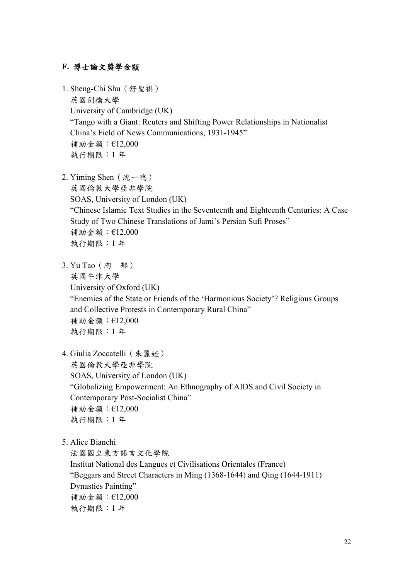### **F.** 博士論文獎學金纇

- 1. Sheng-Chi Shu(舒聖祺) 英國劍橋大學 University of Cambridge (UK) "Tango with a Giant: Reuters and Shifting Power Relationships in Nationalist China's Field of News Communications, 1931-1945" 補助金額:€12,000 執行期限:1 年
- 2. Yiming Shen (沈一鳴) 英國倫敦大學亞非學院 SOAS, University of London (UK) "Chinese Islamic Text Studies in the Seventeenth and Eighteenth Centuries: A Case Study of Two Chinese Translations of Jami's Persian Sufi Proses" 補助金額:€12,000 執行期限:1 年
- 3. Yu Tao(陶 郁) 英國牛津大學 University of Oxford (UK) "Enemies of the State or Friends of the 'Harmonious Society'? Religious Groups and Collective Protests in Contemporary Rural China" 補助金額:€12,000 執行期限:1 年
- 4. Giulia Zoccatelli (朱麗婭) 英國倫敦大學亞非學院

SOAS, University of London (UK) "Globalizing Empowerment: An Ethnography of AIDS and Civil Society in Contemporary Post-Socialist China" 補助金額:€12,000 執行期限:1 年

5. Alice Bianchi

法國國立東方語言文化學院 Institut National des Langues et Civilisations Orientales (France) "Beggars and Street Characters in Ming (1368-1644) and Qing (1644-1911) Dynasties Painting" 補助金額:€12,000 執行期限:1 年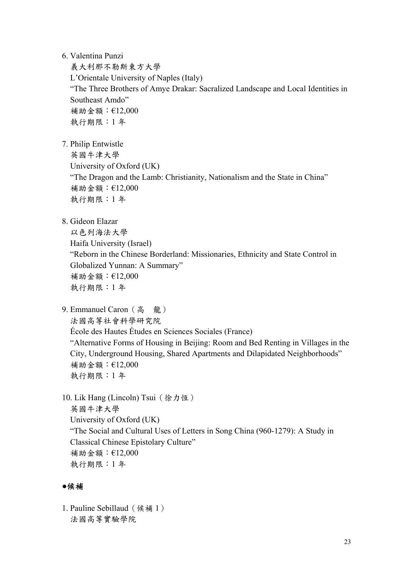6. Valentina Punzi

義大利那不勒斯東方大學 L'Orientale University of Naples (Italy) "The Three Brothers of Amye Drakar: Sacralized Landscape and Local Identities in Southeast Amdo" 補助金額:€12,000 執行期限:1 年

7. Philip Entwistle

英國牛津大學

University of Oxford (UK) "The Dragon and the Lamb: Christianity, Nationalism and the State in China" 補助金額:€12,000 執行期限:1 年

8. [Gideon Elazar](http://www.cckf.org.tw/list_a.asp?userID=lazarustsfat@walla.co.il) 

以色列海法大學 Haifa University (Israel) "Reborn in the Chinese Borderland: Missionaries, Ethnicity and State Control in Globalized Yunnan: A Summary" 補助金額:€12,000 執行期限:1 年

9. Emmanuel Caron (高龍)

法國高等社會科學研究院

École des Hautes Études en Sciences Sociales (France)

"Alternative Forms of Housing in Beijing: Room and Bed Renting in Villages in the City, Underground Housing, Shared Apartments and Dilapidated Neighborhoods" 補助金額:€12,000 執行期限:1 年

10. Lik Hang (Lincoln) Tsui (徐力恆) 英國牛津大學 University of Oxford (UK) "The Social and Cultural Uses of Letters in Song China (960-1279): A Study in Classical Chinese Epistolary Culture" 補助金額:€12,000 執行期限:1 年

#### ●候補

1. Pauline Sebillaud(候補 1) 法國高等實驗學院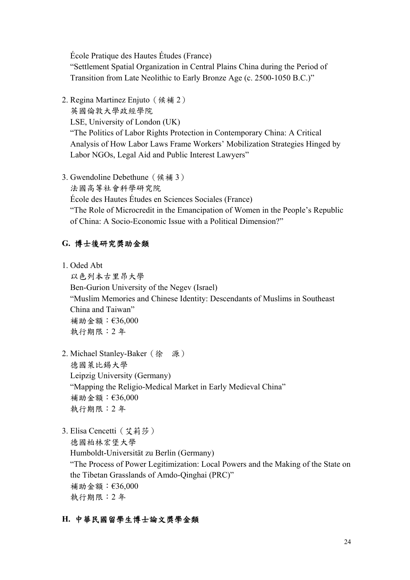École Pratique des Hautes Études (France) "Settlement Spatial Organization in Central Plains China during the Period of Transition from Late Neolithic to Early Bronze Age (c. 2500-1050 B.C.)"

2. Regina Martinez Enjuto(候補 2)

英國倫敦大學政經學院 LSE, University of London (UK) "The Politics of Labor Rights Protection in Contemporary China: A Critical Analysis of How Labor Laws Frame Workers' Mobilization Strategies Hinged by Labor NGOs, Legal Aid and Public Interest Lawyers"

3. Gwendoline Debethune(候補 3)

法國高等社會科學研究院

École des Hautes Études en Sciences Sociales (France)

"The Role of Microcredit in the Emancipation of Women in the People's Republic of China: A Socio-Economic Issue with a Political Dimension?"

# **G.** 博士後研究獎助金類

1. Oded Abt

以色列本古里昂大學 Ben-Gurion University of the Negev (Israel) "Muslim Memories and Chinese Identity: Descendants of Muslims in Southeast China and Taiwan" 補助金額:€36,000 執行期限:2 年

- 2. Michael Stanley-Baker(徐 源) 德國萊比錫大學 Leipzig University (Germany) "Mapping the Religio-Medical Market in Early Medieval China" 補助金額:€36,000 執行期限:2 年
- 3. Elisa Cencetti (艾莉莎) 德國柏林宏堡大學 Humboldt-Universität zu Berlin (Germany) "The Process of Power Legitimization: Local Powers and the Making of the State on the Tibetan Grasslands of Amdo-Qinghai (PRC)" 補助金額:€36,000 執行期限:2 年

# **H.** 中華民國留學生博士論文獎學金類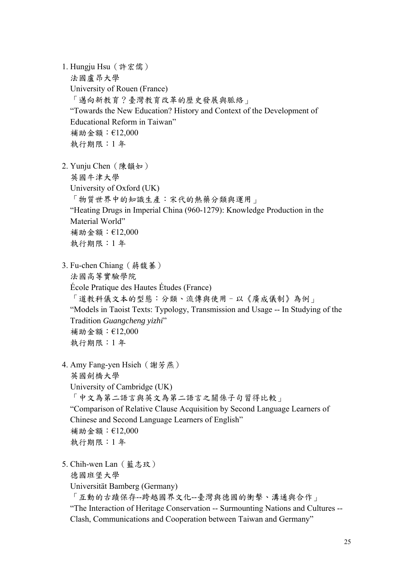1. Hungju Hsu(許宏儒) 法國盧昂大學 University of Rouen (France) 「邁向新教育?臺灣教育改革的歷史發展與脈絡」 "Towards the New Education? History and Context of the Development of Educational Reform in Taiwan" 補助金額:€12,000 執行期限:1 年

- 2. Yunju Chen(陳韻如) 英國牛津大學 University of Oxford (UK) 「物質世界中的知識生產:宋代的熱藥分類與運用」 "Heating Drugs in Imperial China (960-1279): Knowledge Production in the Material World" 補助金額:€12,000 執行期限:1 年
- 3. Fu-chen Chiang(蔣馥蓁) 法國高等實驗學院 École Pratique des Hautes Études (France) 「道教科儀文本的型態:分類、流傳與使用–以《廣成儀制》為例」 "Models in Taoist Texts: Typology, Transmission and Usage -- In Studying of the Tradition *Guangcheng yizhi*" 補助金額:€12,000 執行期限:1 年
- 4. Amy Fang-yen Hsieh(謝芳燕) 英國劍橋大學 University of Cambridge (UK) 「中文為第二語言與英文為第二語言之關係子句習得比較」 "Comparison of Relative Clause Acquisition by Second Language Learners of Chinese and Second Language Learners of English"

補助金額:€12,000 執行期限:1 年

5. Chih-wen Lan(藍志玟)

德國班堡大學

Universität Bamberg (Germany)

「互動的古蹟保存--跨越國界文化--臺灣與德國的衝擊、溝通與合作」

"The Interaction of Heritage Conservation -- Surmounting Nations and Cultures -- Clash, Communications and Cooperation between Taiwan and Germany"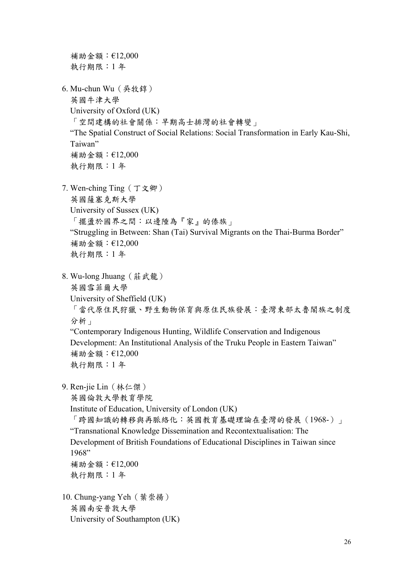補助金額:€12,000 執行期限:1 年 6. Mu-chun Wu(吳牧錞) 英國牛津大學 University of Oxford (UK) 「空間建構的社會關係:早期高士排灣的社會轉變」 "The Spatial Construct of Social Relations: Social Transformation in Early Kau-Shi, Taiwan" 補助金額:€12,000 執行期限:1 年 7. Wen-ching Ting(丁文卿) 英國薩塞克斯大學 University of Sussex (UK) 「擺盪於國界之間:以邊陲為『家』的傣族」 "Struggling in Between: Shan (Tai) Survival Migrants on the Thai-Burma Border" 補助金額:€12,000 執行期限:1 年 8. Wu-long Jhuang(莊武龍) 英國雪菲爾大學 University of Sheffield (UK) 「當代原住民狩獵、野生動物保育與原住民族發展:臺灣東部太魯閣族之制度 分析」 "Contemporary Indigenous Hunting, Wildlife Conservation and Indigenous Development: An Institutional Analysis of the Truku People in Eastern Taiwan" 補助金額:€12,000 執行期限:1 年 9. Ren-jie Lin(林仁傑) 英國倫敦大學教育學院 Institute of Education, University of London (UK) 「跨國知識的轉移與再脈絡化:英國教育基礎理論在臺灣的發展(1968-)」 "Transnational Knowledge Dissemination and Recontextualisation: The Development of British Foundations of Educational Disciplines in Taiwan since 1968" 補助金額:€12,000 執行期限:1 年 10. Chung-yang Yeh(葉崇揚) 英國南安普敦大學 University of Southampton (UK)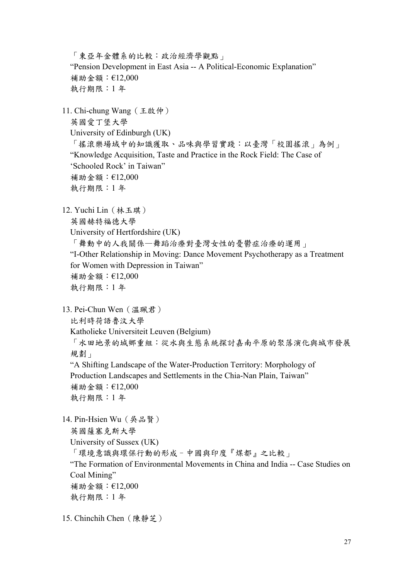「東亞年金體系的比較:政治經濟學觀點」 "Pension Development in East Asia -- A Political-Economic Explanation" 補助金額:€12,000 執行期限:1 年 11. Chi-chung Wang(王啟仲) 英國愛丁堡大學 University of Edinburgh (UK) 「搖滾樂場域中的知識獲取、品味與學習實踐:以臺灣「校園搖滾」為例」 "Knowledge Acquisition, Taste and Practice in the Rock Field: The Case of 'Schooled Rock' in Taiwan" 補助金額:€12,000 執行期限:1 年 12. Yuchi Lin(林玉琪) 英國赫特福德大學 University of Hertfordshire (UK) 「舞動中的人我關係—舞蹈治療對臺灣女性的憂鬱症治療的運用」 "I-Other Relationship in Moving: Dance Movement Psychotherapy as a Treatment for Women with Depression in Taiwan" 補助金額:€12,000 執行期限:1 年 13. Pei-Chun Wen(溫珮君) 比利時荷語魯汶大學 Katholieke Universiteit Leuven (Belgium) 「水田地景的城鄉重組:從水與生態系統探討嘉南平原的聚落演化與城市發展 規劃」 "A Shifting Landscape of the Water-Production Territory: Morphology of Production Landscapes and Settlements in the Chia-Nan Plain, Taiwan" 補助金額:€12,000 執行期限:1 年 14. Pin-Hsien Wu(吳品賢) 英國薩塞克斯大學 University of Sussex (UK) 「環境意識與環保行動的形成–中國與印度『煤都』之比較」 "The Formation of Environmental Movements in China and India -- Case Studies on Coal Mining" 補助金額:€12,000 執行期限:1 年

15. Chinchih Chen(陳靜芝)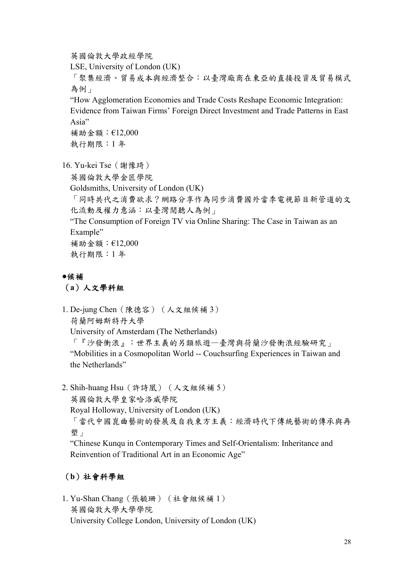英國倫敦大學政經學院

LSE, University of London (UK)

「聚集經濟、貿易成本與經濟整合:以臺灣廠商在東亞的直接投資及貿易模式 為例」

"How Agglomeration Economies and Trade Costs Reshape Economic Integration: Evidence from Taiwan Firms' Foreign Direct Investment and Trade Patterns in East Asia"

補助金額:€12,000 執行期限:1 年

- 16. Yu-kei Tse(謝豫琦)
	- 英國倫敦大學金匠學院
	- Goldsmiths, University of London (UK)

「同時共代之消費欲求?網路分享作為同步消費國外當季電視節目新管道的文 化流動及權力意涵:以臺灣閱聽人為例」

"The Consumption of Foreign TV via Online Sharing: The Case in Taiwan as an Example"

補助金額:€12,000

執行期限:1 年

# **●**候補

### (**a**)人文學科組

1. De-jung Chen(陳德容)(人文組候補 3) 荷蘭阿姆斯特丹大學 University of Amsterdam (The Netherlands) 「『沙發衝浪』:世界主義的另類旅遊—臺灣與荷蘭沙發衝浪經驗研究」 "Mobilities in a Cosmopolitan World -- Couchsurfing Experiences in Taiwan and the Netherlands"

2. Shih-huang Hsu(許詩凰)(人文組候補 5)

英國倫敦大學皇家哈洛威學院

Royal Holloway, University of London (UK)

「當代中國崑曲藝術的發展及自我東方主義:經濟時代下傳統藝術的傳承與再 塑」

"Chinese Kunqu in Contemporary Times and Self-Orientalism: Inheritance and Reinvention of Traditional Art in an Economic Age"

# (**b**)社會科學組

1. Yu-Shan Chang(張毓珊)(社會組候補 1) 英國倫敦大學大學學院 University College London, University of London (UK)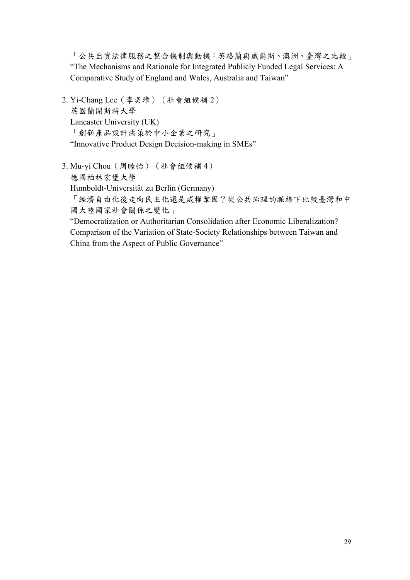「公共出資法律服務之整合機制與動機:英格蘭與威爾斯、澳洲、臺灣之比較」 "The Mechanisms and Rationale for Integrated Publicly Funded Legal Services: A Comparative Study of England and Wales, Australia and Taiwan"

- 2. Yi-Chang Lee(李奕璋)(社會組候補 2) 英國蘭開斯特大學 Lancaster University (UK) 「創新產品設計決策於中小企業之研究」 "Innovative Product Design Decision-making in SMEs"
- 3. Mu-yi Chou(周睦怡)(社會組候補 4) 德國柏林宏堡大學 Humboldt-Universität zu Berlin (Germany) 「經濟自由化後走向民主化還是威權鞏固?從公共治理的脈絡下比較臺灣和中 國大陸國家社會關係之變化」 "Democratization or Authoritarian Consolidation after Economic Liberalization?

Comparison of the Variation of State-Society Relationships between Taiwan and China from the Aspect of Public Governance"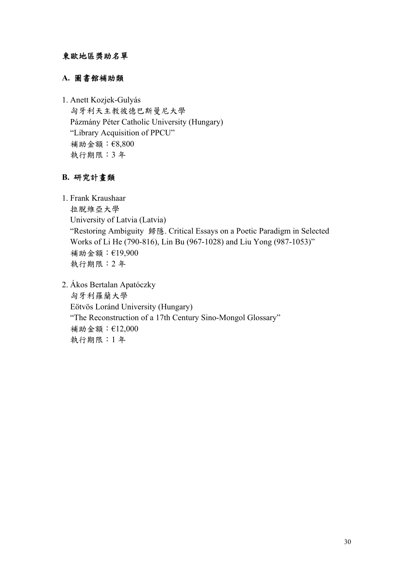### 東歐地區獎助名單

### **A.** 圖書館補助類

1. Anett Kozjek-Gulyás 匈牙利天主教彼德巴斯曼尼大學 Pázmány Péter Catholic University (Hungary) "Library Acquisition of PPCU" 補助金額:€8,800 執行期限:3 年

### **B.** 研究計畫類

1. Frank Kraushaar 拉脫維亞大學 University of Latvia (Latvia) "Restoring Ambiguity 歸隱. Critical Essays on a Poetic Paradigm in Selected Works of Li He (790-816), Lin Bu (967-1028) and Liu Yong (987-1053)" 補助金額:€19,900 執行期限:2 年

2. Ákos Bertalan Apatóczky 匈牙利羅蘭大學 Eötvös Loránd University (Hungary) "The Reconstruction of a 17th Century Sino-Mongol Glossary" 補助金額:€12,000 執行期限:1 年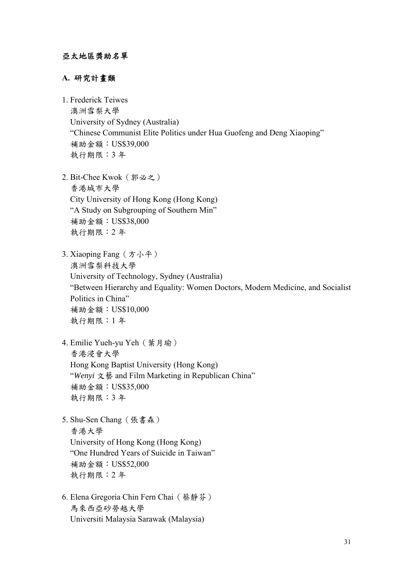#### **A.** 研究計畫類

- 1. Frederick Teiwes 澳洲雪梨大學 University of Sydney (Australia) "Chinese Communist Elite Politics under Hua Guofeng and Deng Xiaoping" 補助金額:US\$39,000 執行期限:3 年
- 2. Bit-Chee Kwok(郭必之) 香港城市大學 City University of Hong Kong (Hong Kong) "A Study on Subgrouping of Southern Min" 補助金額:US\$38,000 執行期限:2 年
- 3. Xiaoping Fang(方小平) 澳洲雪梨科技大學 University of Technology, Sydney (Australia) "Between Hierarchy and Equality: Women Doctors, Modern Medicine, and Socialist Politics in China" 補助金額:US\$10,000 執行期限:1 年
- 4. Emilie Yueh-yu Yeh(葉月瑜) 香港浸會大學 [Hong Kong Baptist University](http://www.hkbu.edu.hk/) (Hong Kong) "*Wenyi* 文藝 and Film Marketing in Republican China" 補助金額:US\$35,000 執行期限:3 年
- 5. Shu-Sen Chang(張書森) 香港大學 University of Hong Kong (Hong Kong) "One Hundred Years of Suicide in Taiwan" 補助金額:US\$52,000 執行期限:2 年
- 6. Elena Gregoria Chin Fern Chai(蔡靜芬) 馬來西亞砂勞越大學 Universiti Malaysia Sarawak (Malaysia)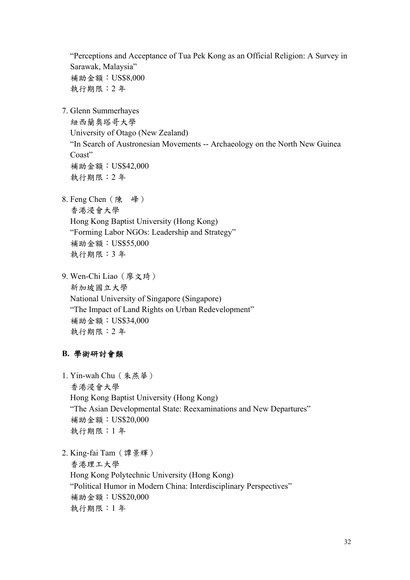"Perceptions and Acceptance of Tua Pek Kong as an Official Religion: A Survey in Sarawak, Malaysia" 補助金額:US\$8,000 執行期限:2 年

7. Glenn Summerhayes

紐西蘭奧塔哥大學 University of Otago (New Zealand) "In Search of Austronesian Movements -- Archaeology on the North New Guinea Coast" 補助金額:US\$42,000 執行期限:2 年

- 8. Feng Chen(陳 峰) 香港浸會大學 [Hong Kong Baptist University](http://www.hkbu.edu.hk/) (Hong Kong) "Forming Labor NGOs: Leadership and Strategy" 補助金額:US\$55,000 執行期限:3 年
- 9. Wen-Chi Liao(廖文琦) 新加坡國立大學 National University of Singapore (Singapore) "The Impact of Land Rights on Urban Redevelopment" 補助金額:US\$34,000 執行期限:2 年

## **B.** 學術研討會類

1. Yin-wah Chu(朱燕華) 香港浸會大學 [Hong Kong Baptist University](http://www.hkbu.edu.hk/) (Hong Kong) "The Asian Developmental State: Reexaminations and New Departures" 補助金額:US\$20,000 執行期限:1 年

2. King-fai Tam(譚景輝)

香港理工大學 Hong Kong Polytechnic University (Hong Kong) "Political Humor in Modern China: Interdisciplinary Perspectives" 補助金額:US\$20,000 執行期限:1 年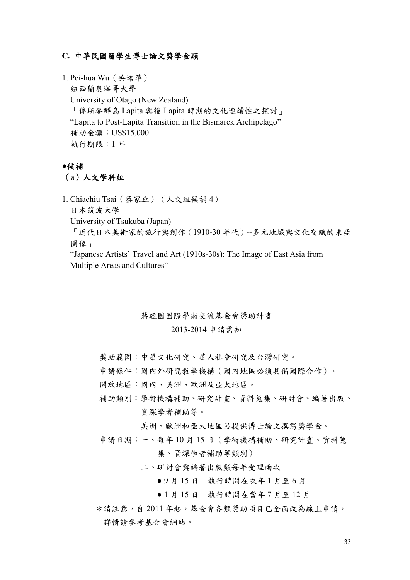#### **C.** 中華民國留學生博士論文獎學金類

1. Pei-hua Wu(吳培華) 紐西蘭奧塔哥大學 University of Otago (New Zealand) 「俾斯麥群島 Lapita 與後 Lapita 時期的文化連續性之探討」 "Lapita to Post-Lapita Transition in the Bismarck Archipelago" 補助金額:US\$15,000 執行期限:1 年

#### **●**候補

(**a**)人文學科組

1. Chiachiu Tsai(蔡家丘)(人文組候補 4) 日本筑波大學 University of Tsukuba (Japan) 「近代日本美術家的旅行與創作(1910-30 年代)--多元地域與文化交織的東亞 圖像」 "Japanese Artists' Travel and Art (1910s-30s): The Image of East Asia from

Multiple Areas and Cultures"

# 蔣經國國際學術交流基金會獎助計畫

#### 2013-2014 申請需知

獎助範圍:中華文化研究、華人社會研究及台灣研究。

申請條件:國內外研究教學機構(國內地區必須具備國際合作)。

開放地區:國內、美洲、歐洲及亞太地區。

補助類別:學術機構補助、研究計畫、資料蒐集、研討會、編著出版、 資深學者補助等。

美洲、歐洲和亞太地區另提供博士論文撰寫獎學金。

申請日期:一、每年 10 月 15 日(學術機構補助、研究計畫、資料蒐 集、資深學者補助等類別)

二、研討會與編著出版類每年受理兩次

● 9 月 15 日 一執行時間在次年 1 月至 6 月

● 1 月 15 日 一執行時間在當年 7 月至 12 月

 \*請注意,自 2011 年起,基金會各類獎助項目已全面改為線上申請, 詳情請參考基金會網站。

33